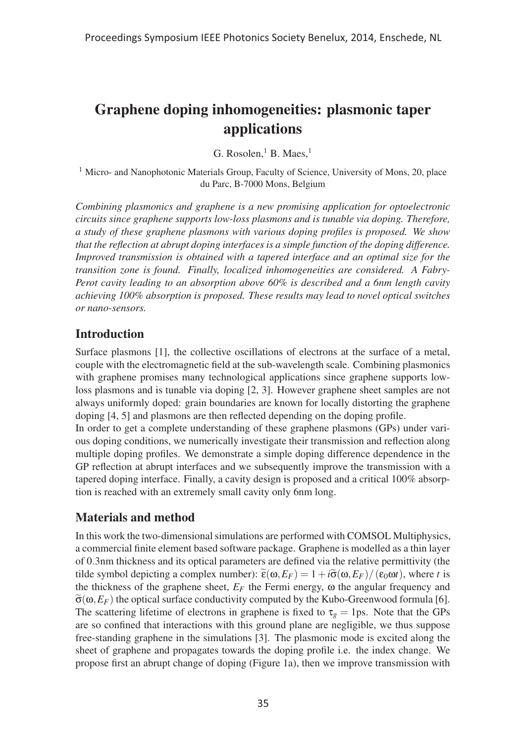# Graphene doping inhomogeneities: plasmonic taper applications

G. Rosolen, $<sup>1</sup>$  B. Maes, $<sup>1</sup>$ </sup></sup>

<sup>1</sup> Micro- and Nanophotonic Materials Group, Faculty of Science, University of Mons, 20, place du Parc, B-7000 Mons, Belgium

*Combining plasmonics and graphene is a new promising application for optoelectronic circuits since graphene supports low-loss plasmons and is tunable via doping. Therefore, a study of these graphene plasmons with various doping profiles is proposed. We show that the reflection at abrupt doping interfaces is a simple function of the doping difference. Improved transmission is obtained with a tapered interface and an optimal size for the transition zone is found. Finally, localized inhomogeneities are considered. A Fabry-Perot cavity leading to an absorption above 60% is described and a 6nm length cavity achieving 100% absorption is proposed. These results may lead to novel optical switches or nano-sensors.*

# **Introduction**

Surface plasmons [1], the collective oscillations of electrons at the surface of a metal, couple with the electromagnetic field at the sub-wavelength scale. Combining plasmonics with graphene promises many technological applications since graphene supports lowloss plasmons and is tunable via doping [2, 3]. However graphene sheet samples are not always uniformly doped: grain boundaries are known for locally distorting the graphene doping [4, 5] and plasmons are then reflected depending on the doping profile.

In order to get a complete understanding of these graphene plasmons (GPs) under various doping conditions, we numerically investigate their transmission and reflection along multiple doping profiles. We demonstrate a simple doping difference dependence in the GP reflection at abrupt interfaces and we subsequently improve the transmission with a tapered doping interface. Finally, a cavity design is proposed and a critical 100% absorption is reached with an extremely small cavity only 6nm long.

# Materials and method

In this work the two-dimensional simulations are performed with COMSOL Multiphysics, a commercial finite element based software package. Graphene is modelled as a thin layer of 0.3nm thickness and its optical parameters are defined via the relative permittivity (the tilde symbol depicting a complex number):  $\tilde{\epsilon}(\omega, E_F) = 1 + i\tilde{\sigma}(\omega, E_F) / (\epsilon_0 \omega t)$ , where *t* is the thickness of the graphene sheet,  $E_F$  the Fermi energy,  $\omega$  the angular frequency and  $\widetilde{\sigma}(\omega, E_F)$  the optical surface conductivity computed by the Kubo-Greenwood formula [6]. The scattering lifetime of electrons in graphene is fixed to  $\tau_g = 1$ ps. Note that the GPs are so confined that interactions with this ground plane are negligible, we thus suppose free-standing graphene in the simulations [3]. The plasmonic mode is excited along the sheet of graphene and propagates towards the doping profile i.e. the index change. We propose first an abrupt change of doping (Figure 1a), then we improve transmission with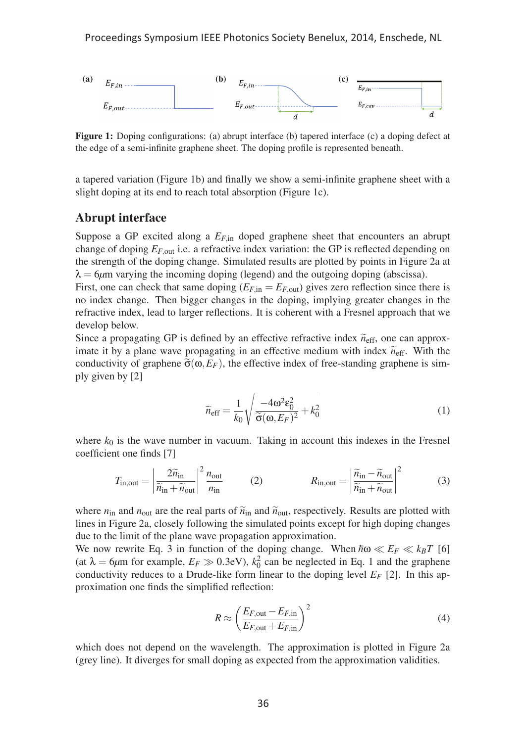

Figure 1: Doping configurations: (a) abrupt interface (b) tapered interface (c) a doping defect at the edge of a semi-infinite graphene sheet. The doping profile is represented beneath.

a tapered variation (Figure 1b) and finally we show a semi-infinite graphene sheet with a slight doping at its end to reach total absorption (Figure 1c).

#### Abrupt interface

Suppose a GP excited along a  $E_{F,in}$  doped graphene sheet that encounters an abrupt change of doping *EF*,out i.e. a refractive index variation: the GP is reflected depending on the strength of the doping change. Simulated results are plotted by points in Figure 2a at  $\lambda = 6\mu$ m varying the incoming doping (legend) and the outgoing doping (abscissa).

First, one can check that same doping  $(E_{F,in} = E_{F,out})$  gives zero reflection since there is no index change. Then bigger changes in the doping, implying greater changes in the refractive index, lead to larger reflections. It is coherent with a Fresnel approach that we develop below.

Since a propagating GP is defined by an effective refractive index  $\widetilde{n}_{\text{eff}}$ , one can approx-<br>in the late a gluon approximate it by a plane wave propagating in an effective medium with index  $\tilde{n}_{\text{eff}}$ . With the conductivity of graphene  $\tilde{\sigma}(\omega, E_F)$ , the effective index of free-standing graphene is simply given by [2]

$$
\widetilde{n}_{\text{eff}} = \frac{1}{k_0} \sqrt{\frac{-4\omega^2 \epsilon_0^2}{\widetilde{\sigma}(\omega, E_F)^2} + k_0^2}
$$
(1)

where  $k_0$  is the wave number in vacuum. Taking in account this indexes in the Fresnel coefficient one finds [7]

$$
T_{\text{in,out}} = \left| \frac{2\widetilde{n}_{\text{in}}}{\widetilde{n}_{\text{in}} + \widetilde{n}_{\text{out}}} \right|^2 \frac{n_{\text{out}}}{n_{\text{in}}} \qquad (2) \qquad R_{\text{in,out}} = \left| \frac{\widetilde{n}_{\text{in}} - \widetilde{n}_{\text{out}}}{\widetilde{n}_{\text{in}} + \widetilde{n}_{\text{out}}} \right|^2 \qquad (3)
$$

where  $n_{\text{in}}$  and  $n_{\text{out}}$  are the real parts of  $\tilde{n}_{\text{in}}$  and  $\tilde{n}_{\text{out}}$ , respectively. Results are plotted with lines in Figure 2a, closely following the simulated points except for high doping changes due to the limit of the plane wave propagation approximation.

We now rewrite Eq. 3 in function of the doping change. When  $\hbar \omega \ll E_F \ll k_B T$  [6] (at  $\lambda = 6\mu$ m for example,  $E_F \gg 0.3$ eV),  $k_0^2$  can be neglected in Eq. 1 and the graphene conductivity reduces to a Drude-like form linear to the doping level  $E_F$  [2]. In this approximation one finds the simplified reflection:

$$
R \approx \left(\frac{E_{F, \text{out}} - E_{F, \text{in}}}{E_{F, \text{out}} + E_{F, \text{in}}}\right)^2 \tag{4}
$$

which does not depend on the wavelength. The approximation is plotted in Figure 2a (grey line). It diverges for small doping as expected from the approximation validities.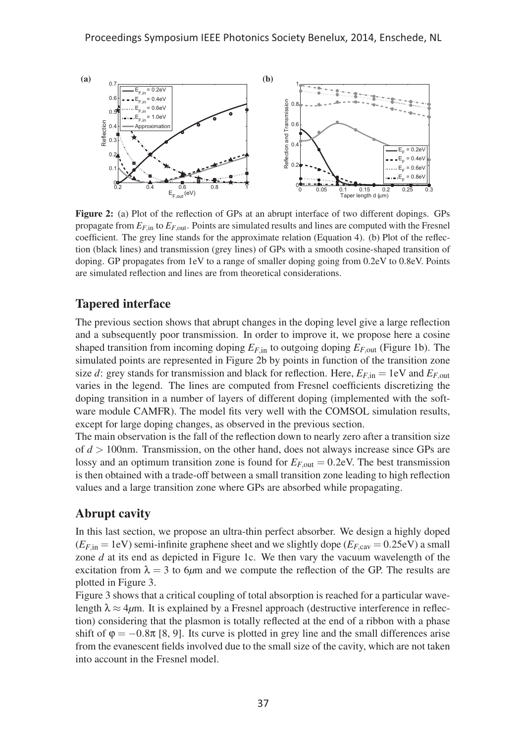

Figure 2: (a) Plot of the reflection of GPs at an abrupt interface of two different dopings. GPs propagate from  $E_{F,\text{in}}$  to  $E_{F,\text{out}}$ . Points are simulated results and lines are computed with the Fresnel coefficient. The grey line stands for the approximate relation (Equation 4). (b) Plot of the reflection (black lines) and transmission (grey lines) of GPs with a smooth cosine-shaped transition of doping. GP propagates from 1eV to a range of smaller doping going from 0.2eV to 0.8eV. Points are simulated reflection and lines are from theoretical considerations.

#### Tapered interface

The previous section shows that abrupt changes in the doping level give a large reflection and a subsequently poor transmission. In order to improve it, we propose here a cosine shaped transition from incoming doping  $E_{F,\text{in}}$  to outgoing doping  $E_{F,\text{out}}$  (Figure 1b). The simulated points are represented in Figure 2b by points in function of the transition zone size *d*: grey stands for transmission and black for reflection. Here,  $E_{F,in} = 1$  eV and  $E_{F,out}$ varies in the legend. The lines are computed from Fresnel coefficients discretizing the doping transition in a number of layers of different doping (implemented with the software module CAMFR). The model fits very well with the COMSOL simulation results, except for large doping changes, as observed in the previous section.

The main observation is the fall of the reflection down to nearly zero after a transition size of *d* > 100nm. Transmission, on the other hand, does not always increase since GPs are lossy and an optimum transition zone is found for  $E_{F, \text{out}} = 0.2 \text{eV}$ . The best transmission is then obtained with a trade-off between a small transition zone leading to high reflection values and a large transition zone where GPs are absorbed while propagating.

# Abrupt cavity

In this last section, we propose an ultra-thin perfect absorber. We design a highly doped  $(E<sub>F</sub>$ <sub>in</sub> = 1eV) semi-infinite graphene sheet and we slightly dope  $(E<sub>F,cav</sub> = 0.25eV)$  a small zone *d* at its end as depicted in Figure 1c. We then vary the vacuum wavelength of the excitation from  $\lambda = 3$  to 6 $\mu$ m and we compute the reflection of the GP. The results are plotted in Figure 3.

Figure 3 shows that a critical coupling of total absorption is reached for a particular wavelength  $\lambda \approx 4 \mu$ m. It is explained by a Fresnel approach (destructive interference in reflection) considering that the plasmon is totally reflected at the end of a ribbon with a phase shift of  $\varphi = -0.8\pi$  [8, 9]. Its curve is plotted in grey line and the small differences arise from the evanescent fields involved due to the small size of the cavity, which are not taken into account in the Fresnel model.